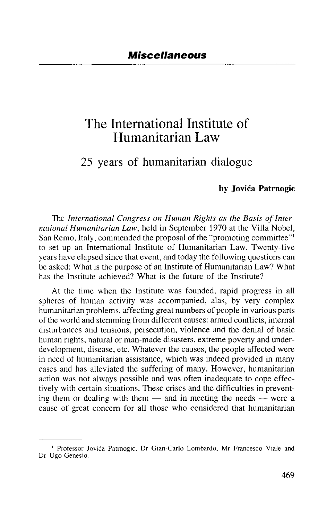## The International Institute of Humanitarian Law

## 25 years of humanitarian dialogue

## **by Jovica Patrnogic**

The *International Congress on Human Rights as the Basis of International Humanitarian Law,* held in September 1970 at the Villa Nobel, San Remo, Italy, commended the proposal of the "promoting committee"<sup>1</sup> to set up an International Institute of Humanitarian Law. Twenty-five years have elapsed since that event, and today the following questions can be asked: What is the purpose of an Institute of Humanitarian Law? What has the Institute achieved? What is the future of the Institute?

At the time when the Institute was founded, rapid progress in all spheres of human activity was accompanied, alas, by very complex humanitarian problems, affecting great numbers of people in various parts of the world and stemming from different causes: armed conflicts, internal disturbances and tensions, persecution, violence and the denial of basic human rights, natural or man-made disasters, extreme poverty and underdevelopment, disease, etc. Whatever the causes, the people affected were in need of humanitarian assistance, which was indeed provided in many cases and has alleviated the suffering of many. However, humanitarian action was not always possible and was often inadequate to cope effectively with certain situations. These crises and the difficulties in preventing them or dealing with them — and in meeting the needs — were a cause of great concern for all those who considered that humanitarian

<sup>1</sup> Professor Jovica Patrnogic, Dr Gian-Carlo Lombardo, Mr Francesco Viale and Dr Ugo Genesio.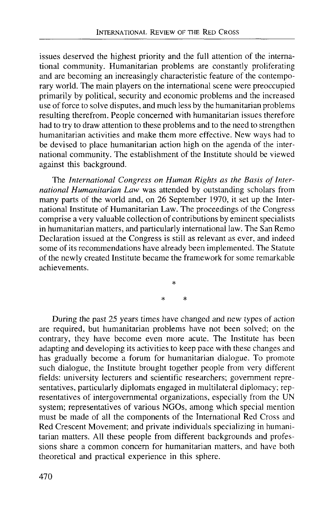issues deserved the highest priority and the full attention of the international community. Humanitarian problems are constantly proliferating and are becoming an increasingly characteristic feature of the contemporary world. The main players on the international scene were preoccupied primarily by political, security and economic problems and the increased use of force to solve disputes, and much less by the humanitarian problems resulting therefrom. People concerned with humanitarian issues therefore had to try to draw attention to these problems and to the need to strengthen humanitarian activities and make them more effective. New ways had to be devised to place humanitarian action high on the agenda of the international community. The establishment of the Institute should be viewed against this background.

The *International Congress on Human Rights as the Basis of International Humanitarian Law* was attended by outstanding scholars from many parts of the world and, on 26 September 1970, it set up the International Institute of Humanitarian Law. The proceedings of the Congress comprise a very valuable collection of contributions by eminent specialists in humanitarian matters, and particularly international law. The San Remo Declaration issued at the Congress is still as relevant as ever, and indeed some of its recommendations have already been implemented. The Statute of the newly created Institute became the framework for some remarkable achievements.

During the past 25 years times have changed and new types of action are required, but humanitarian problems have not been solved; on the contrary, they have become even more acute. The Institute has been adapting and developing its activities to keep pace with these changes and has gradually become a forum for humanitarian dialogue. To promote such dialogue, the Institute brought together people from very different fields: university lecturers and scientific researchers; government representatives, particularly diplomats engaged in multilateral diplomacy; representatives of intergovernmental organizations, especially from the UN system; representatives of various NGOs, among which special mention must be made of all the components of the International Red Cross and Red Crescent Movement; and private individuals specializing in humanitarian matters. All these people from different backgrounds and professions share a common concern for humanitarian matters, and have both theoretical and practical experience in this sphere.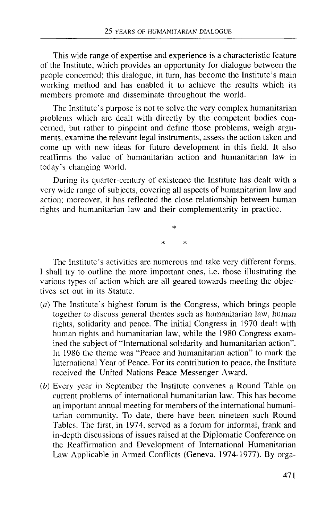This wide range of expertise and experience is a characteristic feature of the Institute, which provides an opportunity for dialogue between the people concerned; this dialogue, in turn, has become the Institute's main working method and has enabled it to achieve the results which its members promote and disseminate throughout the world.

The Institute's purpose is not to solve the very complex humanitarian problems which are dealt with directly by the competent bodies concerned, but rather to pinpoint and define those problems, weigh arguments, examine the relevant legal instruments, assess the action taken and come up with new ideas for future development in this field. It also reaffirms the value of humanitarian action and humanitarian law in today's changing world.

During its quarter-century of existence the Institute has dealt with a very wide range of subjects, covering all aspects of humanitarian law and action; moreover, it has reflected the close relationship between human rights and humanitarian law and their complementarity in practice.

The Institute's activities are numerous and take very different forms. I shall try to outline the more important ones, i.e. those illustrating the various types of action which are all geared towards meeting the objectives set out in its Statute.

- *(a)* The Institute's highest forum is the Congress, which brings people together to discuss general themes such as humanitarian law, human rights, solidarity and peace. The initial Congress in 1970 dealt with human rights and humanitarian law, while the 1980 Congress examined the subject of "International solidarity and humanitarian action". In 1986 the theme was "Peace and humanitarian action" to mark the International Year of Peace. For its contribution to peace, the Institute received the United Nations Peace Messenger Award.
- *{b)* Every year in September the Institute convenes a Round Table on current problems of international humanitarian law. This has become an important annual meeting for members of the international humanitarian community. To date, there have been nineteen such Round Tables. The first, in 1974, served as a forum for informal, frank and in-depth discussions of issues raised at the Diplomatic Conference on the Reaffirmation and Development of International Humanitarian Law Applicable in Armed Conflicts (Geneva, 1974-1977). By orga-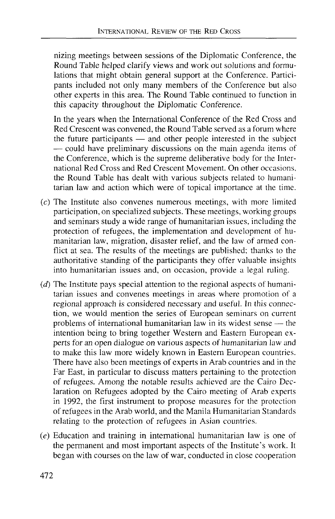nizing meetings between sessions of the Diplomatic Conference, the Round Table helped clarify views and work out solutions and formulations that might obtain general support at the Conference. Participants included not only many members of the Conference but also other experts in this area. The Round Table continued to function in this capacity throughout the Diplomatic Conference.

In the years when the International Conference of the Red Cross and Red Crescent was convened, the Round Table served as a forum where the future participants — and other people interested in the subject — could have preliminary discussions on the main agenda items of the Conference, which is the supreme deliberative body for the International Red Cross and Red Crescent Movement. On other occasions, the Round Table has dealt with various subjects related to humanitarian law and action which were of topical importance at the time.

- (c) The Institute also convenes numerous meetings, with more limited participation, on specialized subjects. These meetings, working groups and seminars study a wide range of humanitarian issues, including the protection of refugees, the implementation and development of humanitarian law, migration, disaster relief, and the law of armed conflict at sea. The results of the meetings are published; thanks to the authoritative standing of the participants they offer valuable insights into humanitarian issues and, on occasion, provide a legal ruling.
- *(d)* The Institute pays special attention to the regional aspects of humanitarian issues and convenes meetings in areas where promotion of a regional approach is considered necessary and useful. In this connection, we would mention the series of European seminars on current problems of international humanitarian law in its widest sense — the intention being to bring together Western and Eastern European experts for an open dialogue on various aspects of humanitarian law and to make this law more widely known in Eastern European countries. There have also been meetings of experts in Arab countries and in the Far East, in particular to discuss matters pertaining to the protection of refugees. Among the notable results achieved are the Cairo Declaration on Refugees adopted by the Cairo meeting of Arab experts in 1992, the first instrument to propose measures for the protection of refugees in the Arab world, and the Manila Humanitarian Standards relating to the protection of refugees in Asian countries.
- *(e)* Education and training in international humanitarian law is one of the permanent and most important aspects of the Institute's work. It began with courses on the law of war, conducted in close cooperation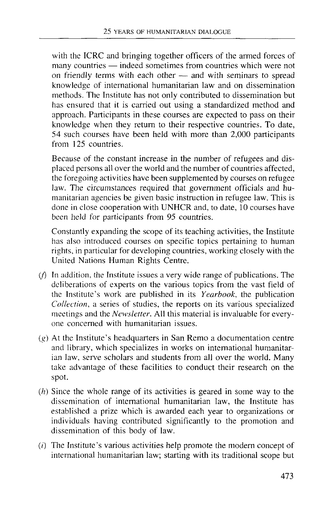with the ICRC and bringing together officers of the armed forces of many countries — indeed sometimes from countries which were not on friendly terms with each other — and with seminars to spread knowledge of international humanitarian law and on dissemination methods. The Institute has not only contributed to dissemination but has ensured that it is carried out using a standardized method and approach. Participants in these courses are expected to pass on their knowledge when they return to their respective countries. To date, 54 such courses have been held with more than 2,000 participants from 125 countries.

Because of the constant increase in the number of refugees and displaced persons all over the world and the number of countries affected, the foregoing activities have been supplemented by courses on refugee law. The circumstances required that government officials and humanitarian agencies be given basic instruction in refugee law. This is done in close cooperation with UNHCR and, to date, 10 courses have been held for participants from 95 countries.

Constantly expanding the scope of its teaching activities, the Institute has also introduced courses on specific topics pertaining to human rights, in particular for developing countries, working closely with the United Nations Human Rights Centre.

- $(f)$  In addition, the Institute issues a very wide range of publications. The deliberations of experts on the various topics from the vast field of the Institute's work are published in its *Yearbook,* the publication *Collection,* a series of studies, the reports on its various specialized meetings and the *Newsletter.* All this material is invaluable for everyone concerned with humanitarian issues.
- *(g)* At the Institute's headquarters in San Remo a documentation centre and library, which specializes in works on international humanitarian law, serve scholars and students from all over the world. Many take advantage of these facilities to conduct their research on the spot.
- $(h)$  Since the whole range of its activities is geared in some way to the dissemination of international humanitarian law, the Institute has established a prize which is awarded each year to organizations or individuals having contributed significantly to the promotion and dissemination of this body of law.
- $(i)$  The Institute's various activities help promote the modern concept of international humanitarian law; starting with its traditional scope but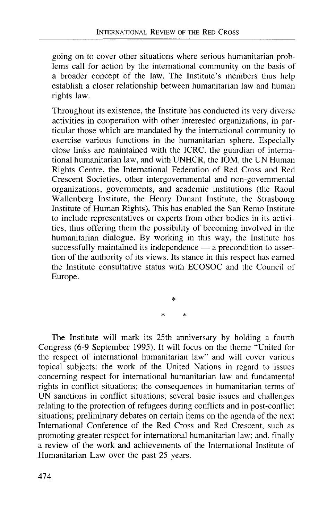going on to cover other situations where serious humanitarian problems call for action by the international community on the basis of a broader concept of the law. The Institute's members thus help establish a closer relationship between humanitarian law and human rights law.

Throughout its existence, the Institute has conducted its very diverse activities in cooperation with other interested organizations, in particular those which are mandated by the international community to exercise various functions in the humanitarian sphere. Especially close links are maintained with the ICRC, the guardian of international humanitarian law, and with UNHCR, the IOM, the UN Human Rights Centre, the International Federation of Red Cross and Red Crescent Societies, other intergovernmental and non-governmental organizations, governments, and academic institutions (the Raoul Wallenberg Institute, the Henry Dunant Institute, the Strasbourg Institute of Human Rights). This has enabled the San Remo Institute to include representatives or experts from other bodies in its activities, thus offering them the possibility of becoming involved in the humanitarian dialogue. By working in this way, the Institute has successfully maintained its independence — a precondition to assertion of the authority of its views. Its stance in this respect has earned the Institute consultative status with ECOSOC and the Council of Europe.

×

The Institute will mark its 25th anniversary by holding a fourth Congress (6-9 September 1995). It will focus on the theme "'United for the respect of international humanitarian law" and will cover various topical subjects: the work of the United Nations in regard to issues concerning respect for international humanitarian law and fundamental rights in conflict situations; the consequences in humanitarian terms of UN sanctions in conflict situations; several basic issues and challenges relating to the protection of refugees during conflicts and in post-conflict situations; preliminary debates on certain items on the agenda of the next International Conference of the Red Cross and Red Crescent, such as promoting greater respect for international humanitarian law; and, finally a review of the work and achievements of the International Institute of Humanitarian Law over the past 25 years.